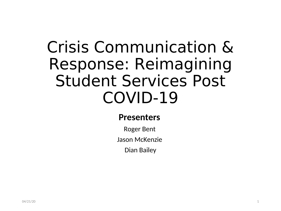#### Crisis Communication & Response: Reimagining Student Services Post COVID-19

#### **Presenters**

Roger Bent

Jason McKenzie

Dian Bailey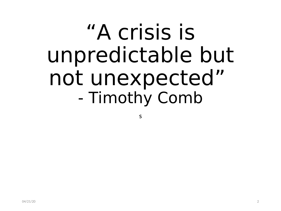# "A crisis is unpredictable but not unexpected" - Timothy Comb

s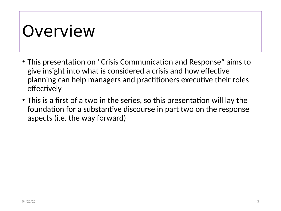#### Overview

- This presentation on "Crisis Communication and Response" aims to give insight into what is considered a crisis and how effective planning can help managers and practitioners executive their roles effectively
- This is a first of a two in the series, so this presentation will lay the foundation for a substantive discourse in part two on the response aspects (i.e. the way forward)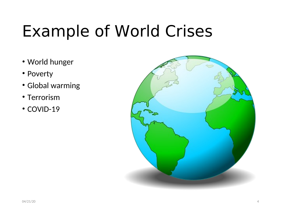#### Example of World Crises

- World hunger
- Poverty
- Global warming
- Terrorism
- COVID-19

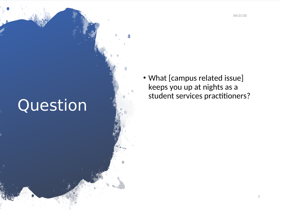04/21/20

#### Question

• What [campus related issue] keeps you up at nights as a student services practitioners?

5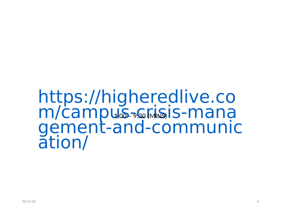#### https://higheredlive.co m/campus-somsis-mana gement-and-communic ation/ 1:00 – 9:30 (MINS)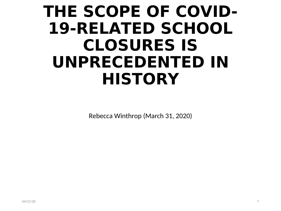#### **THE SCOPE OF COVID-19-RELATED SCHOOL CLOSURES IS UNPRECEDENTED IN HISTORY**

Rebecca Winthrop (March 31, 2020)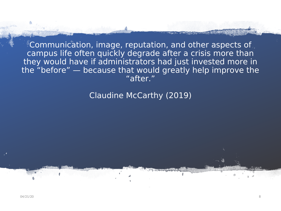Communication, image, reputation, and other aspects of campus life often quickly degrade after a crisis more than they would have if administrators had just invested more in the "before" — because that would greatly help improve the "after."

#### Claudine McCarthy (2019)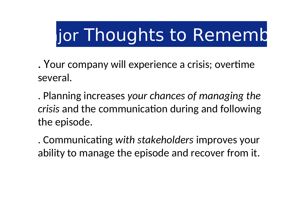# Jor Thoughts to Rememb

. Your company will experience a crisis; overtime several.

. Planning increases *your chances of managing the crisis* and the communication during and following the episode.

. Communicating *with stakeholders* improves your ability to manage the episode and recover from it.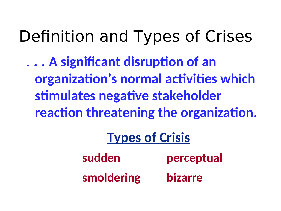Definition and Types of Crises

. **. . A significant disruption of an organization's normal activities which stimulates negative stakeholder reaction threatening the organization.**

#### **Types of Crisis**

**sudden perceptual smoldering bizarre**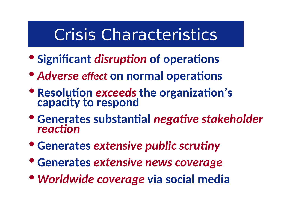#### Crisis Characteristics

- **Significant** *disruption* **of operations**
- *Adverse effect* **on normal operations**
- **Resolution** *exceeds* **the organization's capacity to respond**
- **Generates substantial** *negative stakeholder reaction*
- **Generates** *extensive public scrutiny*
- **Generates** *extensive news coverage*
- *Worldwide coverage* **via social media**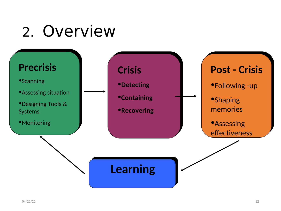#### 2. Overview

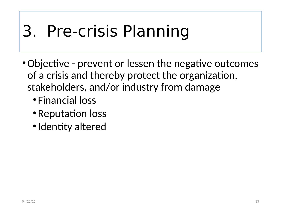### 3. Pre-crisis Planning

- Objective prevent or lessen the negative outcomes of a crisis and thereby protect the organization, stakeholders, and/or industry from damage
	- Financial loss
	- •Reputation loss
	- •Identity altered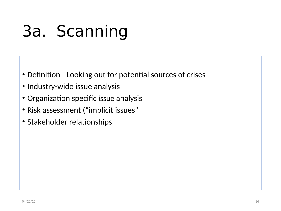# 3a. Scanning

- Definition Looking out for potential sources of crises
- Industry-wide issue analysis
- Organization specific issue analysis
- Risk assessment ("implicit issues"
- Stakeholder relationships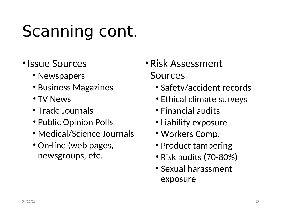#### Scanning cont.

- Issue Sources
	- Newspapers
	- Business Magazines
	- TV News
	- Trade Journals
	- Public Opinion Polls
	- Medical/Science Journals
	- On-line (web pages, newsgroups, etc.
- •Risk Assessment Sources
	- Safety/accident records
	- Ethical climate surveys
	- Financial audits
	- Liability exposure
	- Workers Comp.
	- Product tampering
	- Risk audits (70-80%)
	- Sexual harassment exposure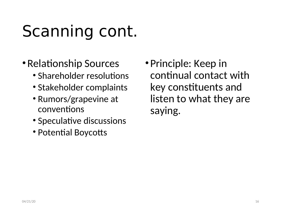# Scanning cont.

- •Relationship Sources
	- Shareholder resolutions
	- Stakeholder complaints
	- Rumors/grapevine at conventions
	- Speculative discussions
	- Potential Boycotts

• Principle: Keep in continual contact with key constituents and listen to what they are saying.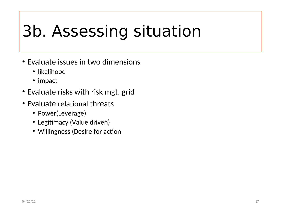### 3b. Assessing situation

- Evaluate issues in two dimensions
	- likelihood
	- impact
- Evaluate risks with risk mgt. grid
- Evaluate relational threats
	- Power(Leverage)
	- Legitimacy (Value driven)
	- Willingness (Desire for action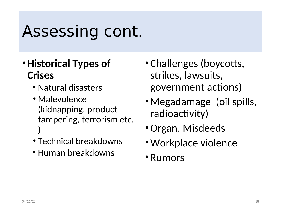#### Assessing cont.

#### •**Historical Types of Crises**

- Natural disasters
- Malevolence (kidnapping, product tampering, terrorism etc. )
- Technical breakdowns
- Human breakdowns
- •Challenges (boycotts, strikes, lawsuits, government actions)
- •Megadamage (oil spills, radioactivity)
- •Organ. Misdeeds
- •Workplace violence
- •Rumors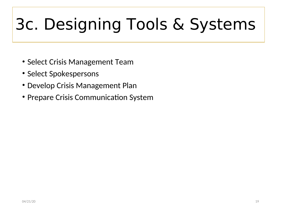# 3c. Designing Tools & Systems

- Select Crisis Management Team
- Select Spokespersons
- Develop Crisis Management Plan
- Prepare Crisis Communication System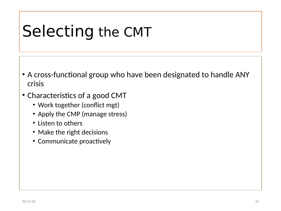#### Selecting the CMT

- A cross-functional group who have been designated to handle ANY crisis
- Characteristics of a good CMT
	- Work together (conflict mgt)
	- Apply the CMP (manage stress)
	- Listen to others
	- Make the right decisions
	- Communicate proactively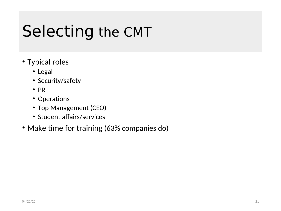#### Selecting the CMT

- Typical roles
	- Legal
	- Security/safety
	- PR
	- Operations
	- Top Management (CEO)
	- Student affairs/services
- Make time for training (63% companies do)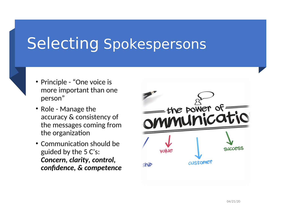#### Selecting Spokespersons

- Principle "One voice is more important than one person"
- Role Manage the accuracy & consistency of the messages coming from the organization
- Communication should be guided by the 5 C's: *Concern, clarity, control, confidence, & competence*

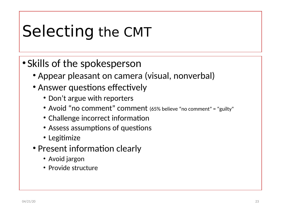#### Selecting the CMT

• Skills of the spokesperson

- Appear pleasant on camera (visual, nonverbal)
- Answer questions effectively
	- Don't argue with reporters
	- Avoid "no comment" comment (65% believe "no comment" = "guilty"
	- Challenge incorrect information
	- Assess assumptions of questions
	- Legitimize
- Present information clearly
	- Avoid jargon
	- Provide structure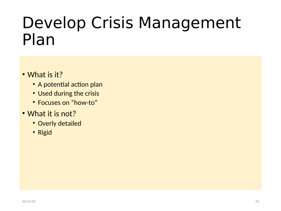#### Develop Crisis Management Plan

- What is it?
	- A potential action plan
	- Used during the crisis
	- Focuses on "how-to"
- What it is not?
	- Overly detailed
	- Rigid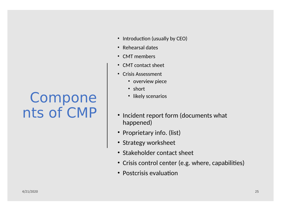#### Compone nts of CMP

- Introduction (usually by CEO)
- Rehearsal dates
- CMT members
- CMT contact sheet
- Crisis Assessment
	- overview piece
	- short
	- likely scenarios
- Incident report form (documents what happened)
- Proprietary info. (list)
- Strategy worksheet
- Stakeholder contact sheet
- Crisis control center (e.g. where, capabilities)
- Postcrisis evaluation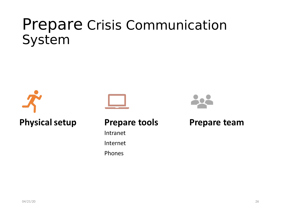#### Prepare Crisis Communication System





#### **Prepare tools**

Intranet Internet

Phones



#### **Prepare team**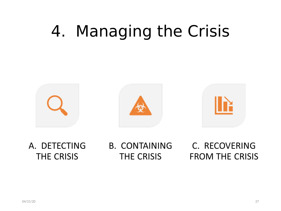### 4. Managing the Crisis



A. DETECTING **THE CRISIS** 

**B. CONTAINING THE CRISIS** 

C. RECOVERING **FROM THE CRISIS**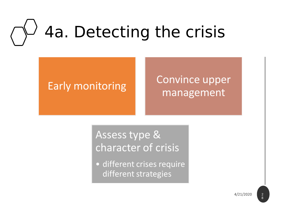# 4a. Detecting the crisis

#### **Early monitoring**

#### **Convince upper** management

Assess type & character of crisis

• different crises require different strategies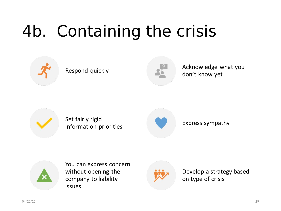# 4b. Containing the crisis



#### Respond quickly



Acknowledge what you don't know yet



Set fairly rigid information priorities



#### Express sympathy



You can express concern without opening the company to liability **issues** 



Develop a strategy based on type of crisis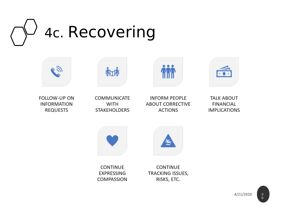



FOLLOW-UP ON **INFORMATION REQUESTS** 



航视



hin



**TALK ABOUT FINANCIAL IMPLICATIONS** 



**CONTINUE EXPRESSING COMPASSION** 

**CONTINUE** TRACKING ISSUES, RISKS, ETC.

 $\mathbf{k}$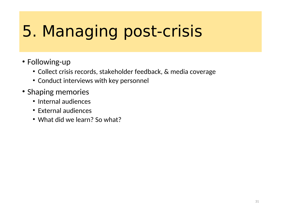#### 5. Managing post-crisis

- Following-up
	- Collect crisis records, stakeholder feedback, & media coverage
	- Conduct interviews with key personnel
- Shaping memories
	- Internal audiences
	- External audiences
	- What did we learn? So what?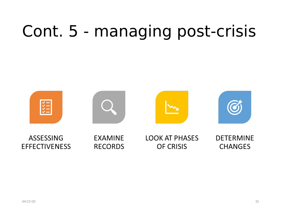### Cont. 5 - managing post-crisis

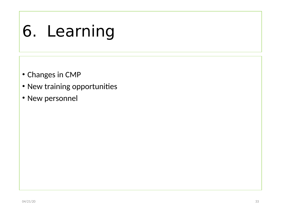### 6. Learning

- Changes in CMP
- New training opportunities
- New personnel